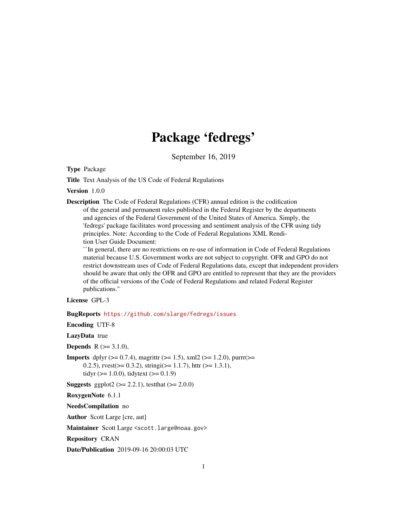# Package 'fedregs'

September 16, 2019

Type Package

Title Text Analysis of the US Code of Federal Regulations

Version 1.0.0

Description The Code of Federal Regulations (CFR) annual edition is the codification of the general and permanent rules published in the Federal Register by the departments and agencies of the Federal Government of the United States of America. Simply, the 'fedregs' package facilitates word processing and sentiment analysis of the CFR using tidy principles. Note: According to the Code of Federal Regulations XML Rendition User Guide Document:

``In general, there are no restrictions on re-use of information in Code of Federal Regulations material because U.S. Government works are not subject to copyright. OFR and GPO do not restrict downstream uses of Code of Federal Regulations data, except that independent providers should be aware that only the OFR and GPO are entitled to represent that they are the providers of the official versions of the Code of Federal Regulations and related Federal Register publications.''

License GPL-3

BugReports <https://github.com/slarge/fedregs/issues>

Encoding UTF-8

LazyData true

**Depends** R  $(>= 3.1.0)$ ,

**Imports** dplyr ( $> = 0.7.4$ ), magrittr ( $> = 1.5$ ), xml2 ( $> = 1.2.0$ ), purrr( $> =$ 0.2.5),  $rvest(>= 0.3.2)$ ,  $stringi(>= 1.1.7)$ ,  $http://http://www.1.3.1)$ , tidyr ( $>= 1.0.0$ ), tidytext ( $>= 0.1.9$ )

**Suggests** ggplot2 ( $>= 2.2.1$ ), testthat ( $>= 2.0.0$ )

RoxygenNote 6.1.1

NeedsCompilation no

Author Scott Large [cre, aut]

Maintainer Scott Large <scott.large@noaa.gov>

Repository CRAN

Date/Publication 2019-09-16 20:00:03 UTC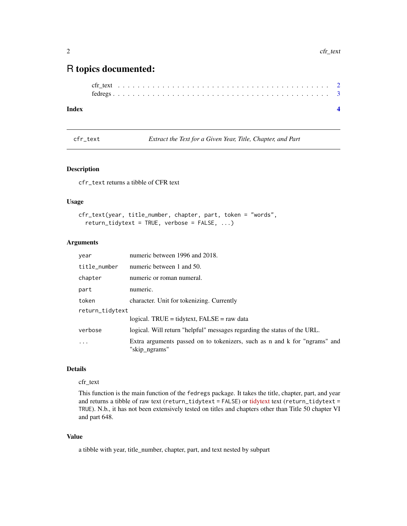# <span id="page-1-0"></span>R topics documented:

#### **Index** [4](#page-3-0)

cfr\_text *Extract the Text for a Given Year, Title, Chapter, and Part*

#### Description

cfr\_text returns a tibble of CFR text

#### Usage

```
cfr_text(year, title_number, chapter, part, token = "words",
  return_tidytext = TRUE, verbose = FALSE, ...)
```
#### Arguments

| year            | numeric between 1996 and 2018.                                                             |
|-----------------|--------------------------------------------------------------------------------------------|
| title_number    | numeric between 1 and 50.                                                                  |
| chapter         | numeric or roman numeral.                                                                  |
| part            | numeric.                                                                                   |
| token           | character. Unit for tokenizing. Currently                                                  |
| return_tidytext |                                                                                            |
|                 | logical. TRUE = tidytext, $FALSE = raw data$                                               |
| verbose         | logical. Will return "helpful" messages regarding the status of the URL.                   |
| $\ddotsc$       | Extra arguments passed on to tokenizers, such as n and k for "ngrams" and<br>"skip ngrams" |

# Details

#### cfr\_text

This function is the main function of the fedregs package. It takes the title, chapter, part, and year and returns a tibble of raw text (return\_[tidytext](https://www.tidytextmining.com/tidytext.html) = FALSE) or tidytext text (return\_tidytext = TRUE). N.b., it has not been extensively tested on titles and chapters other than Title 50 chapter VI and part 648.

#### Value

a tibble with year, title\_number, chapter, part, and text nested by subpart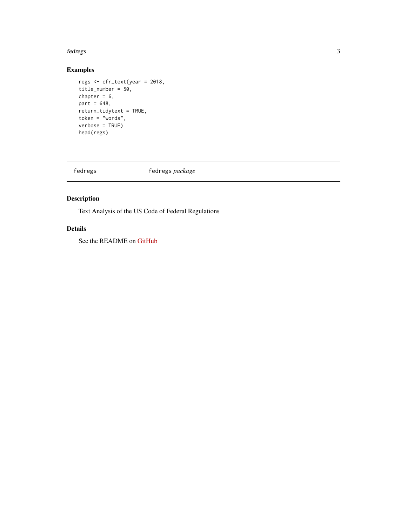#### <span id="page-2-0"></span>fedregs 3

# Examples

```
regs <- cfr_text(year = 2018,
title_number = 50,
chapter = 6,
part = 648,
return_tidytext = TRUE,
token = "words",
verbose = TRUE)
head(regs)
```
fedregs fedregs *package*

# Description

Text Analysis of the US Code of Federal Regulations

# Details

See the README on [GitHub](https://github.com/slarge/fedregs/blob/master/README.md)